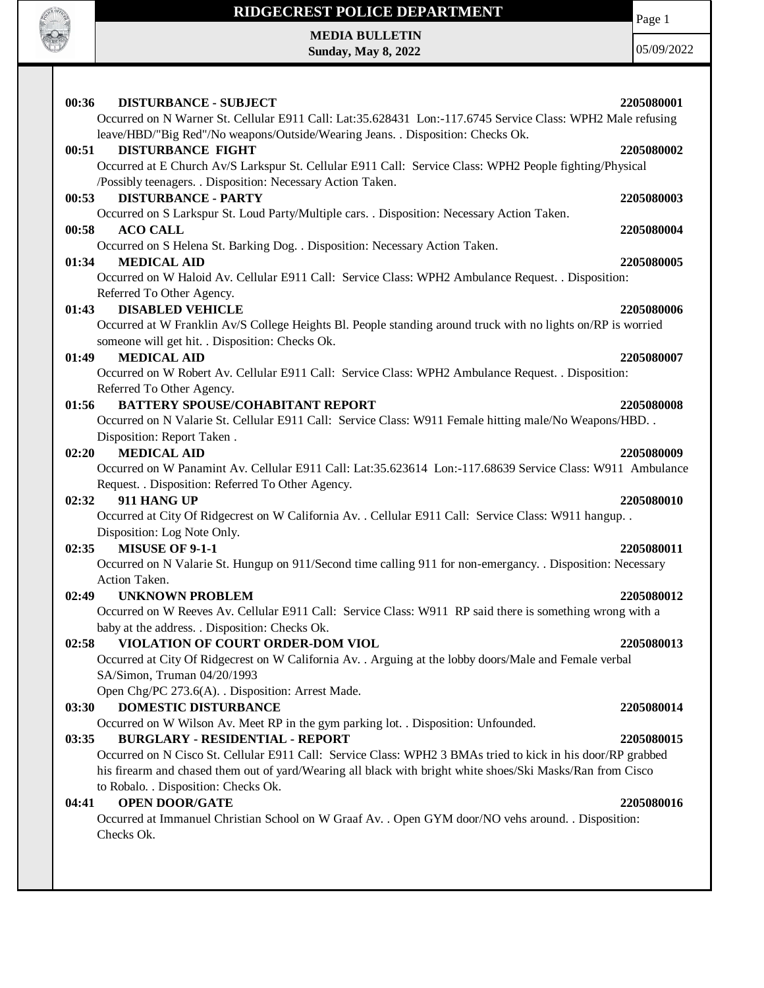

Page 1

**MEDIA BULLETIN Sunday, May 8, 2022**

05/09/2022

| 00:36<br><b>DISTURBANCE - SUBJECT</b><br>Occurred on N Warner St. Cellular E911 Call: Lat:35.628431 Lon:-117.6745 Service Class: WPH2 Male refusing                                                                       | 2205080001 |
|---------------------------------------------------------------------------------------------------------------------------------------------------------------------------------------------------------------------------|------------|
| leave/HBD/"Big Red"/No weapons/Outside/Wearing Jeans. . Disposition: Checks Ok.                                                                                                                                           |            |
| <b>DISTURBANCE FIGHT</b><br>00:51                                                                                                                                                                                         | 2205080002 |
| Occurred at E Church Av/S Larkspur St. Cellular E911 Call: Service Class: WPH2 People fighting/Physical                                                                                                                   |            |
| /Possibly teenagers. . Disposition: Necessary Action Taken.<br><b>DISTURBANCE - PARTY</b><br>00:53                                                                                                                        | 2205080003 |
| Occurred on S Larkspur St. Loud Party/Multiple cars. . Disposition: Necessary Action Taken.                                                                                                                               |            |
| 00:58<br><b>ACO CALL</b>                                                                                                                                                                                                  | 2205080004 |
| Occurred on S Helena St. Barking Dog. . Disposition: Necessary Action Taken.                                                                                                                                              |            |
| <b>MEDICAL AID</b><br>01:34                                                                                                                                                                                               | 2205080005 |
| Occurred on W Haloid Av. Cellular E911 Call: Service Class: WPH2 Ambulance Request. . Disposition:<br>Referred To Other Agency.                                                                                           |            |
| 01:43<br><b>DISABLED VEHICLE</b>                                                                                                                                                                                          | 2205080006 |
| Occurred at W Franklin Av/S College Heights Bl. People standing around truck with no lights on/RP is worried                                                                                                              |            |
| someone will get hit. . Disposition: Checks Ok.                                                                                                                                                                           |            |
| <b>MEDICAL AID</b><br>01:49<br>Occurred on W Robert Av. Cellular E911 Call: Service Class: WPH2 Ambulance Request. . Disposition:                                                                                         | 2205080007 |
| Referred To Other Agency.                                                                                                                                                                                                 |            |
| <b>BATTERY SPOUSE/COHABITANT REPORT</b><br>01:56                                                                                                                                                                          | 2205080008 |
| Occurred on N Valarie St. Cellular E911 Call: Service Class: W911 Female hitting male/No Weapons/HBD. .                                                                                                                   |            |
| Disposition: Report Taken.                                                                                                                                                                                                |            |
| <b>MEDICAL AID</b><br>02:20<br>Occurred on W Panamint Av. Cellular E911 Call: Lat:35.623614 Lon:-117.68639 Service Class: W911 Ambulance                                                                                  | 2205080009 |
| Request. . Disposition: Referred To Other Agency.                                                                                                                                                                         |            |
| 02:32<br>911 HANG UP                                                                                                                                                                                                      | 2205080010 |
| Occurred at City Of Ridgecrest on W California Av. . Cellular E911 Call: Service Class: W911 hangup. .                                                                                                                    |            |
| Disposition: Log Note Only.                                                                                                                                                                                               |            |
| MISUSE OF 9-1-1<br>02:35                                                                                                                                                                                                  | 2205080011 |
| Occurred on N Valarie St. Hungup on 911/Second time calling 911 for non-emergancy. . Disposition: Necessary<br>Action Taken.                                                                                              |            |
| <b>UNKNOWN PROBLEM</b><br>02:49                                                                                                                                                                                           | 2205080012 |
| Occurred on W Reeves Av. Cellular E911 Call: Service Class: W911 RP said there is something wrong with a                                                                                                                  |            |
| baby at the address. . Disposition: Checks Ok.                                                                                                                                                                            |            |
| VIOLATION OF COURT ORDER-DOM VIOL<br>02:58                                                                                                                                                                                | 2205080013 |
| Occurred at City Of Ridgecrest on W California Av. . Arguing at the lobby doors/Male and Female verbal<br>SA/Simon, Truman 04/20/1993                                                                                     |            |
| Open Chg/PC 273.6(A). . Disposition: Arrest Made.                                                                                                                                                                         |            |
| <b>DOMESTIC DISTURBANCE</b><br>03:30                                                                                                                                                                                      | 2205080014 |
| Occurred on W Wilson Av. Meet RP in the gym parking lot. . Disposition: Unfounded.                                                                                                                                        |            |
| <b>BURGLARY - RESIDENTIAL - REPORT</b><br>03:35                                                                                                                                                                           | 2205080015 |
| Occurred on N Cisco St. Cellular E911 Call: Service Class: WPH2 3 BMAs tried to kick in his door/RP grabbed<br>his firearm and chased them out of yard/Wearing all black with bright white shoes/Ski Masks/Ran from Cisco |            |
| to Robalo. . Disposition: Checks Ok.                                                                                                                                                                                      |            |
| <b>OPEN DOOR/GATE</b><br>04:41                                                                                                                                                                                            | 2205080016 |
| Occurred at Immanuel Christian School on W Graaf Av. . Open GYM door/NO vehs around. . Disposition:                                                                                                                       |            |
| Checks Ok.                                                                                                                                                                                                                |            |
|                                                                                                                                                                                                                           |            |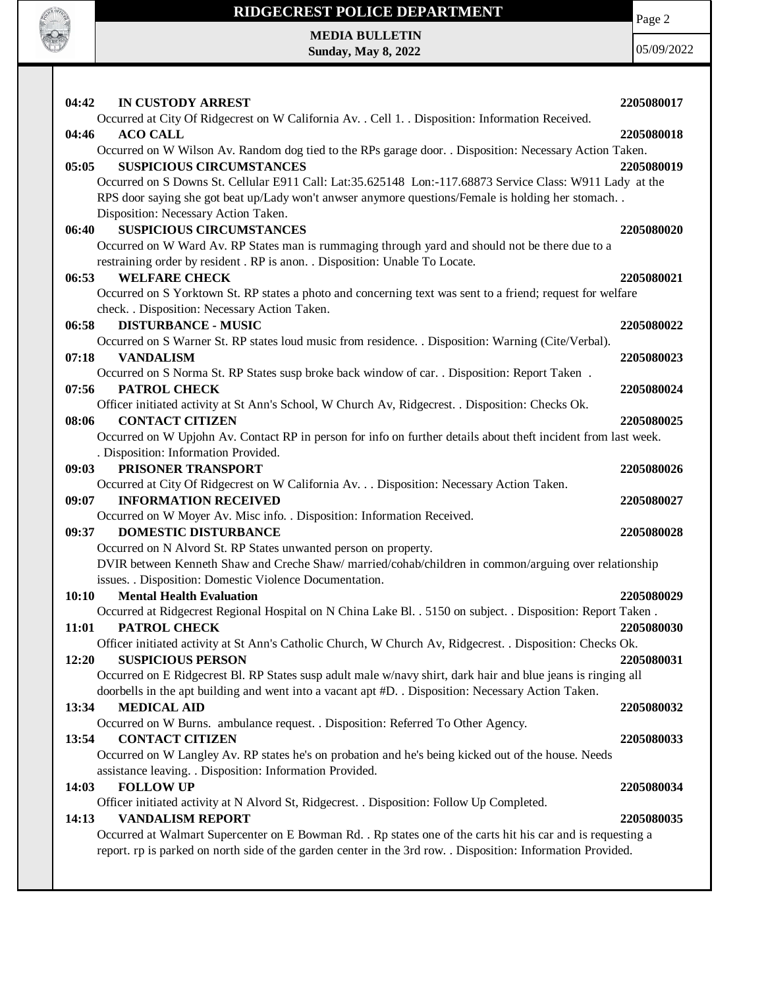

**MEDIA BULLETIN Sunday, May 8, 2022**

**CONTRACTOR** 

05/09/2022

| <b>IN CUSTODY ARREST</b><br>04:42                                                                              | 2205080017 |
|----------------------------------------------------------------------------------------------------------------|------------|
| Occurred at City Of Ridgecrest on W California Av. . Cell 1. . Disposition: Information Received.              |            |
| <b>ACO CALL</b><br>04:46                                                                                       | 2205080018 |
| Occurred on W Wilson Av. Random dog tied to the RPs garage door. . Disposition: Necessary Action Taken.        |            |
| <b>SUSPICIOUS CIRCUMSTANCES</b><br>05:05                                                                       | 2205080019 |
| Occurred on S Downs St. Cellular E911 Call: Lat:35.625148 Lon:-117.68873 Service Class: W911 Lady at the       |            |
| RPS door saying she got beat up/Lady won't anwser anymore questions/Female is holding her stomach              |            |
| Disposition: Necessary Action Taken.                                                                           |            |
| <b>SUSPICIOUS CIRCUMSTANCES</b><br>06:40                                                                       | 2205080020 |
| Occurred on W Ward Av. RP States man is rummaging through yard and should not be there due to a                |            |
| restraining order by resident . RP is anon. . Disposition: Unable To Locate.                                   |            |
| 06:53<br><b>WELFARE CHECK</b>                                                                                  | 2205080021 |
| Occurred on S Yorktown St. RP states a photo and concerning text was sent to a friend; request for welfare     |            |
| check. . Disposition: Necessary Action Taken.                                                                  |            |
| <b>DISTURBANCE - MUSIC</b><br>06:58                                                                            | 2205080022 |
| Occurred on S Warner St. RP states loud music from residence. . Disposition: Warning (Cite/Verbal).            |            |
| 07:18<br><b>VANDALISM</b>                                                                                      | 2205080023 |
| Occurred on S Norma St. RP States susp broke back window of car. . Disposition: Report Taken.                  |            |
| 07:56<br>PATROL CHECK                                                                                          | 2205080024 |
| Officer initiated activity at St Ann's School, W Church Av, Ridgecrest. . Disposition: Checks Ok.              |            |
| <b>CONTACT CITIZEN</b><br>08:06                                                                                | 2205080025 |
| Occurred on W Upjohn Av. Contact RP in person for info on further details about theft incident from last week. |            |
| . Disposition: Information Provided.                                                                           |            |
| 09:03<br>PRISONER TRANSPORT                                                                                    | 2205080026 |
| Occurred at City Of Ridgecrest on W California Av. Disposition: Necessary Action Taken.                        |            |
| 09:07<br><b>INFORMATION RECEIVED</b>                                                                           | 2205080027 |
| Occurred on W Moyer Av. Misc info. . Disposition: Information Received.                                        |            |
| <b>DOMESTIC DISTURBANCE</b><br>09:37                                                                           | 2205080028 |
| Occurred on N Alvord St. RP States unwanted person on property.                                                |            |
| DVIR between Kenneth Shaw and Creche Shaw/ married/cohab/children in common/arguing over relationship          |            |
| issues. . Disposition: Domestic Violence Documentation.                                                        |            |
| <b>Mental Health Evaluation</b><br>10:10                                                                       | 2205080029 |
| Occurred at Ridgecrest Regional Hospital on N China Lake Bl. . 5150 on subject. . Disposition: Report Taken.   |            |
| PATROL CHECK<br>11:01                                                                                          | 2205080030 |
| Officer initiated activity at St Ann's Catholic Church, W Church Av, Ridgecrest. . Disposition: Checks Ok.     |            |
| 12:20<br><b>SUSPICIOUS PERSON</b>                                                                              | 2205080031 |
| Occurred on E Ridgecrest Bl. RP States susp adult male w/navy shirt, dark hair and blue jeans is ringing all   |            |
| doorbells in the apt building and went into a vacant apt #D. . Disposition: Necessary Action Taken.            |            |
| <b>MEDICAL AID</b><br>13:34                                                                                    | 2205080032 |
| Occurred on W Burns. ambulance request. . Disposition: Referred To Other Agency.                               |            |
| <b>CONTACT CITIZEN</b><br>13:54                                                                                | 2205080033 |
| Occurred on W Langley Av. RP states he's on probation and he's being kicked out of the house. Needs            |            |
| assistance leaving. . Disposition: Information Provided.                                                       |            |
| <b>FOLLOW UP</b><br>14:03                                                                                      | 2205080034 |
| Officer initiated activity at N Alvord St, Ridgecrest. . Disposition: Follow Up Completed.                     |            |
| 14:13<br><b>VANDALISM REPORT</b>                                                                               | 2205080035 |
| Occurred at Walmart Supercenter on E Bowman Rd. . Rp states one of the carts hit his car and is requesting a   |            |
| report. rp is parked on north side of the garden center in the 3rd row. . Disposition: Information Provided.   |            |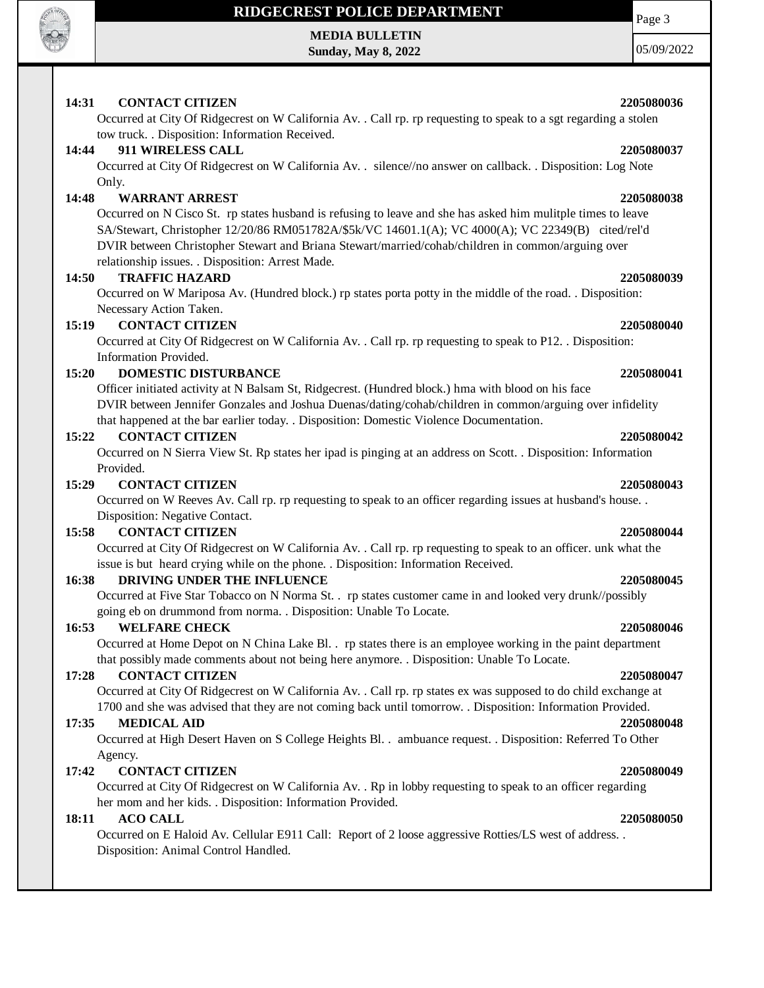

**MEDIA BULLETIN Sunday, May 8, 2022**

05/09/2022

Page 3

# **14:31 CONTACT CITIZEN 2205080036**

Occurred at City Of Ridgecrest on W California Av. . Call rp. rp requesting to speak to a sgt regarding a stolen tow truck. . Disposition: Information Received.

# **14:44 911 WIRELESS CALL 2205080037**

Occurred at City Of Ridgecrest on W California Av. . silence//no answer on callback. . Disposition: Log Note Only.

# **14:48 WARRANT ARREST 2205080038**

Occurred on N Cisco St. rp states husband is refusing to leave and she has asked him mulitple times to leave SA/Stewart, Christopher 12/20/86 RM051782A/\$5k/VC 14601.1(A); VC 4000(A); VC 22349(B) cited/rel'd DVIR between Christopher Stewart and Briana Stewart/married/cohab/children in common/arguing over relationship issues. . Disposition: Arrest Made.

## **14:50 TRAFFIC HAZARD 2205080039**

Occurred on W Mariposa Av. (Hundred block.) rp states porta potty in the middle of the road. . Disposition: Necessary Action Taken.

### **15:19 CONTACT CITIZEN 2205080040**

Occurred at City Of Ridgecrest on W California Av. . Call rp. rp requesting to speak to P12. . Disposition: Information Provided.

## **15:20 DOMESTIC DISTURBANCE 2205080041**

Officer initiated activity at N Balsam St, Ridgecrest. (Hundred block.) hma with blood on his face DVIR between Jennifer Gonzales and Joshua Duenas/dating/cohab/children in common/arguing over infidelity that happened at the bar earlier today. . Disposition: Domestic Violence Documentation.

### **15:22 CONTACT CITIZEN 2205080042**

Occurred on N Sierra View St. Rp states her ipad is pinging at an address on Scott. . Disposition: Information Provided.

### **15:29 CONTACT CITIZEN 2205080043**

Occurred on W Reeves Av. Call rp. rp requesting to speak to an officer regarding issues at husband's house. . Disposition: Negative Contact.

# **15:58 CONTACT CITIZEN 2205080044**

Occurred at City Of Ridgecrest on W California Av. . Call rp. rp requesting to speak to an officer. unk what the issue is but heard crying while on the phone. . Disposition: Information Received.

## **16:38 DRIVING UNDER THE INFLUENCE 2205080045**

Occurred at Five Star Tobacco on N Norma St. . rp states customer came in and looked very drunk//possibly going eb on drummond from norma. . Disposition: Unable To Locate.

### **16:53 WELFARE CHECK 2205080046**

Occurred at Home Depot on N China Lake Bl. . rp states there is an employee working in the paint department that possibly made comments about not being here anymore. . Disposition: Unable To Locate.

### **17:28 CONTACT CITIZEN 2205080047**

Occurred at City Of Ridgecrest on W California Av. . Call rp. rp states ex was supposed to do child exchange at 1700 and she was advised that they are not coming back until tomorrow. . Disposition: Information Provided.

## **17:35 MEDICAL AID 2205080048**

Occurred at High Desert Haven on S College Heights Bl. . ambuance request. . Disposition: Referred To Other Agency.

## **17:42 CONTACT CITIZEN 2205080049**

Occurred at City Of Ridgecrest on W California Av. . Rp in lobby requesting to speak to an officer regarding her mom and her kids. . Disposition: Information Provided.

### **18:11 ACO CALL 2205080050**

Occurred on E Haloid Av. Cellular E911 Call: Report of 2 loose aggressive Rotties/LS west of address. . Disposition: Animal Control Handled.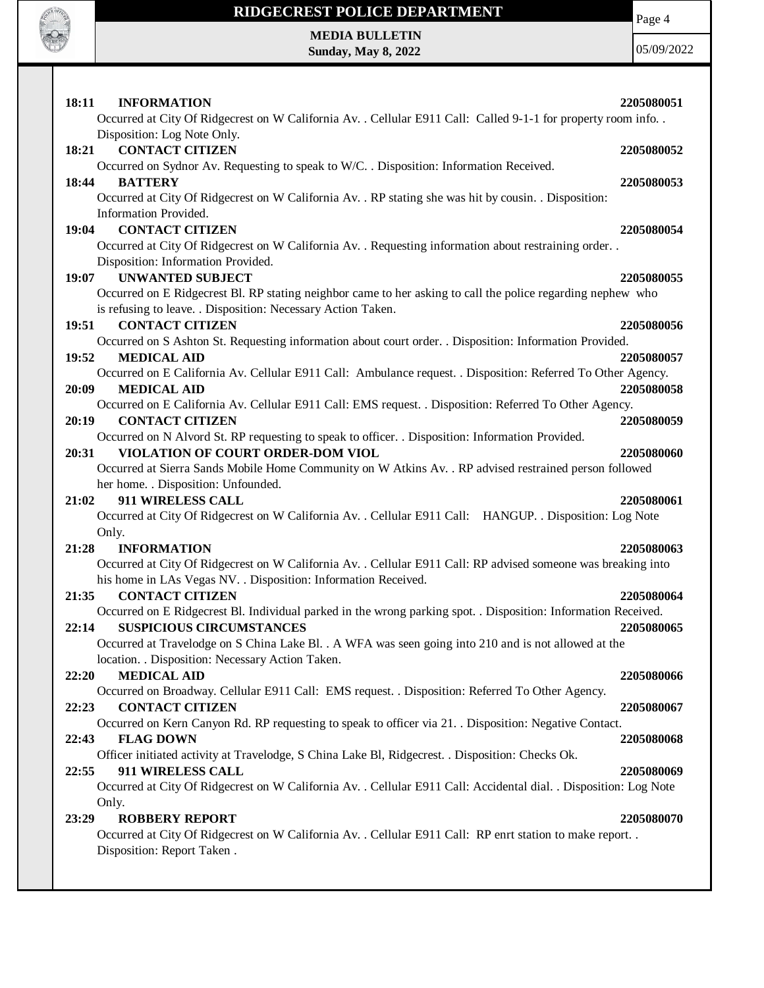

# **RIDGECREST POLICE DEPARTMENT MEDIA BULLETIN**

**Sunday, May 8, 2022**

Page 4

05/09/2022

| 18:11<br><b>INFORMATION</b>                                                                                                                    | 2205080051 |
|------------------------------------------------------------------------------------------------------------------------------------------------|------------|
| Occurred at City Of Ridgecrest on W California Av. . Cellular E911 Call: Called 9-1-1 for property room info. .<br>Disposition: Log Note Only. |            |
| <b>CONTACT CITIZEN</b><br>18:21                                                                                                                | 2205080052 |
| Occurred on Sydnor Av. Requesting to speak to W/C. . Disposition: Information Received.                                                        |            |
| 18:44<br><b>BATTERY</b>                                                                                                                        | 2205080053 |
| Occurred at City Of Ridgecrest on W California Av. . RP stating she was hit by cousin. . Disposition:                                          |            |
| Information Provided.                                                                                                                          |            |
| <b>CONTACT CITIZEN</b><br>19:04                                                                                                                | 2205080054 |
| Occurred at City Of Ridgecrest on W California Av. . Requesting information about restraining order. .                                         |            |
| Disposition: Information Provided.<br><b>UNWANTED SUBJECT</b>                                                                                  | 2205080055 |
| 19:07<br>Occurred on E Ridgecrest Bl. RP stating neighbor came to her asking to call the police regarding nephew who                           |            |
| is refusing to leave. . Disposition: Necessary Action Taken.                                                                                   |            |
| <b>CONTACT CITIZEN</b><br>19:51                                                                                                                | 2205080056 |
| Occurred on S Ashton St. Requesting information about court order. . Disposition: Information Provided.                                        |            |
| 19:52<br><b>MEDICAL AID</b>                                                                                                                    | 2205080057 |
| Occurred on E California Av. Cellular E911 Call: Ambulance request. . Disposition: Referred To Other Agency.                                   |            |
| 20:09<br><b>MEDICAL AID</b>                                                                                                                    | 2205080058 |
| Occurred on E California Av. Cellular E911 Call: EMS request. . Disposition: Referred To Other Agency.                                         |            |
| <b>CONTACT CITIZEN</b><br>20:19                                                                                                                | 2205080059 |
| Occurred on N Alvord St. RP requesting to speak to officer. . Disposition: Information Provided.<br>VIOLATION OF COURT ORDER-DOM VIOL<br>20:31 | 2205080060 |
| Occurred at Sierra Sands Mobile Home Community on W Atkins Av. . RP advised restrained person followed                                         |            |
| her home. . Disposition: Unfounded.                                                                                                            |            |
| 911 WIRELESS CALL<br>21:02                                                                                                                     | 2205080061 |
| Occurred at City Of Ridgecrest on W California Av. . Cellular E911 Call: HANGUP. . Disposition: Log Note                                       |            |
| Only.                                                                                                                                          |            |
| 21:28<br><b>INFORMATION</b>                                                                                                                    | 2205080063 |
| Occurred at City Of Ridgecrest on W California Av. . Cellular E911 Call: RP advised someone was breaking into                                  |            |
| his home in LAs Vegas NV. . Disposition: Information Received.<br><b>CONTACT CITIZEN</b><br>21:35                                              | 2205080064 |
| Occurred on E Ridgecrest Bl. Individual parked in the wrong parking spot. . Disposition: Information Received.                                 |            |
| <b>SUSPICIOUS CIRCUMSTANCES</b><br>22:14                                                                                                       | 2205080065 |
| Occurred at Travelodge on S China Lake Bl. . A WFA was seen going into 210 and is not allowed at the                                           |            |
| location. . Disposition: Necessary Action Taken.                                                                                               |            |
| <b>MEDICAL AID</b><br>22:20                                                                                                                    | 2205080066 |
| Occurred on Broadway. Cellular E911 Call: EMS request. . Disposition: Referred To Other Agency.                                                |            |
| <b>CONTACT CITIZEN</b><br>22:23                                                                                                                | 2205080067 |
| Occurred on Kern Canyon Rd. RP requesting to speak to officer via 21. . Disposition: Negative Contact.<br><b>FLAG DOWN</b><br>22:43            | 2205080068 |
| Officer initiated activity at Travelodge, S China Lake Bl, Ridgecrest. . Disposition: Checks Ok.                                               |            |
| 911 WIRELESS CALL<br>22:55                                                                                                                     | 2205080069 |
| Occurred at City Of Ridgecrest on W California Av. . Cellular E911 Call: Accidental dial. . Disposition: Log Note                              |            |
| Only.                                                                                                                                          |            |
| <b>ROBBERY REPORT</b><br>23:29                                                                                                                 | 2205080070 |
| Occurred at City Of Ridgecrest on W California Av. . Cellular E911 Call: RP enrt station to make report. .                                     |            |
| Disposition: Report Taken.                                                                                                                     |            |
|                                                                                                                                                |            |
|                                                                                                                                                |            |